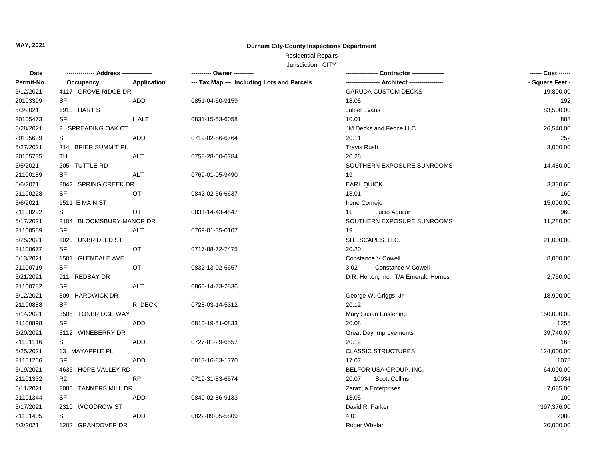## Residential Repairs

| Permit-No.<br>Application<br>--- Tax Map --- Including Lots and Parcels<br>Occupancy        | - Square Feet - |
|---------------------------------------------------------------------------------------------|-----------------|
| 4117 GROVE RIDGE DR<br><b>GARUDA CUSTOM DECKS</b><br>5/12/2021                              | 19,800.00       |
| 20103399<br>SF<br><b>ADD</b><br>18.05<br>0851-04-50-9159                                    | 192             |
| 5/3/2021<br>1910 HART ST<br><b>Jaleel Evans</b>                                             | 83,500.00       |
| 20105473<br>SF<br>10.01<br><b>LALT</b><br>0831-15-53-6058                                   | 888             |
| 5/28/2021<br>2 SPREADING OAK CT<br>JM Decks and Fence LLC.                                  | 26,540.00       |
| 20105639<br>SF<br>20.11<br>ADD<br>0719-02-86-6764                                           | 252             |
| 5/27/2021<br>314 BRIER SUMMIT PL<br><b>Travis Rush</b>                                      | 3,000.00        |
| 20105735<br>20.28<br>TH<br>ALT<br>0758-28-50-6784                                           |                 |
| 5/5/2021<br>205 TUTTLE RD<br>SOUTHERN EXPOSURE SUNROOMS                                     | 14,480.00       |
| SF<br><b>ALT</b><br>21100189<br>19<br>0769-01-05-9490                                       |                 |
| 5/6/2021<br>2042 SPRING CREEK DR<br><b>EARL QUICK</b>                                       | 3,330.60        |
| 21100228<br><b>SF</b><br>OT<br>18.01<br>0842-02-56-6637                                     | 160             |
| 5/6/2021<br>1511 E MAIN ST<br>Irene Cornejo                                                 | 15,000.00       |
| 21100292<br>SF<br>OT<br>Lucio Aguilar<br>0831-14-43-4847<br>11                              | 960             |
| SOUTHERN EXPOSURE SUNROOMS<br>5/17/2021<br>2104 BLOOMSBURY MANOR DR                         | 11,280.00       |
| 21100589<br>SF<br>ALT<br>0769-01-35-0107<br>19                                              |                 |
| 5/25/2021<br>SITESCAPES, LLC.<br>1020 UNBRIDLED ST                                          | 21,000.00       |
| 21100677<br>SF<br>20.20<br>ОT<br>0717-88-72-7475                                            |                 |
| 5/13/2021<br>Constance V Cowell<br>1501 GLENDALE AVE                                        | 8,000.00        |
| 21100719<br>SF<br>OT<br>Constance V Cowell<br>0832-13-02-6657<br>3.02                       |                 |
| 911 REDBAY DR<br>D.R. Horton, Inc., T/A Emerald Homes<br>5/21/2021                          | 2,750.00        |
| SF<br>21100782<br>ALT<br>0860-14-73-2836                                                    |                 |
| 5/12/2021<br>309 HARDWICK DR<br>George W. Griggs, Jr                                        | 18,900.00       |
| SF<br>20.12<br>21100888<br>R_DECK<br>0728-03-14-5312                                        |                 |
| 5/14/2021<br>3505 TONBRIDGE WAY<br>Mary Susan Easterling                                    | 150,000.00      |
| 21100898<br>SF<br>20.08<br>ADD<br>0810-19-51-0833                                           | 1255            |
| 5/20/2021<br>5112 WINEBERRY DR<br><b>Great Day Improvements</b>                             | 39,740.07       |
| <b>SF</b><br>21101116<br>ADD<br>20.12<br>0727-01-29-6557                                    | 168             |
| 5/25/2021<br>13 MAYAPPLE PL<br><b>CLASSIC STRUCTURES</b>                                    | 124,000.00      |
| 21101266<br>17.07<br>SF<br>ADD<br>0813-16-83-1770                                           | 1078            |
| 5/19/2021<br>4635 HOPE VALLEY RD<br>BELFOR USA GROUP, INC.                                  | 64,000.00       |
| 21101332<br><b>Scott Collins</b><br>R <sub>2</sub><br><b>RP</b><br>20.07<br>0719-31-83-6574 | 10034           |
| 5/11/2021<br>2086 TANNERS MILL DR<br>Zarazua Enterprises                                    | 7,685.00        |
| SF<br>21101344<br>ADD<br>0840-02-86-9133<br>18.05                                           | 100             |
| 5/17/2021<br>2310 WOODROW ST<br>David R. Parker                                             | 397,376.00      |
| SF<br>21101405<br>ADD<br>0822-09-05-5809<br>4.01                                            | 2000            |
| 5/3/2021<br>1202 GRANDOVER DR<br>Roger Whelan                                               | 20,000.00       |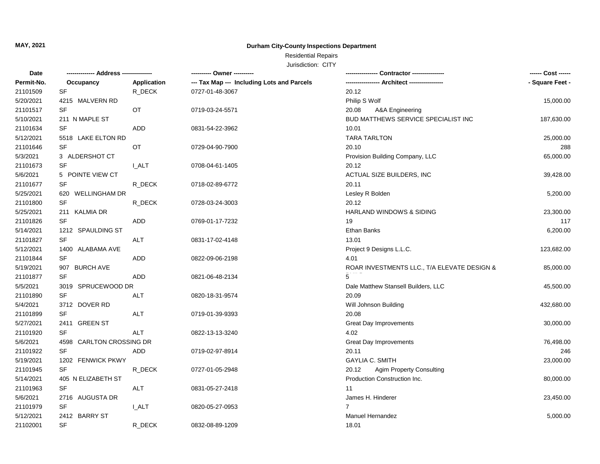### Residential Repairs

| <b>Date</b> | -------------- Address --------------- |              | --------- Owner ---------                  |                                             | ------ Cost ------ |
|-------------|----------------------------------------|--------------|--------------------------------------------|---------------------------------------------|--------------------|
| Permit-No.  | Occupancy                              | Application  | --- Tax Map --- Including Lots and Parcels |                                             | - Square Feet -    |
| 21101509    | SF                                     | R_DECK       | 0727-01-48-3067                            | 20.12                                       |                    |
| 5/20/2021   | 4215 MALVERN RD                        |              |                                            | Philip S Wolf                               | 15,000.00          |
| 21101517    | $\ensuremath{\mathsf{SF}}\xspace$      | OT           | 0719-03-24-5571                            | 20.08<br>A&A Engineering                    |                    |
| 5/10/2021   | 211 N MAPLE ST                         |              |                                            | BUD MATTHEWS SERVICE SPECIALIST INC         | 187,630.00         |
| 21101634    | <b>SF</b>                              | <b>ADD</b>   | 0831-54-22-3962                            | 10.01                                       |                    |
| 5/12/2021   | 5518 LAKE ELTON RD                     |              |                                            | <b>TARA TARLTON</b>                         | 25,000.00          |
| 21101646    | <b>SF</b>                              | OT           | 0729-04-90-7900                            | 20.10                                       | 288                |
| 5/3/2021    | 3 ALDERSHOT CT                         |              |                                            | Provision Building Company, LLC             | 65,000.00          |
| 21101673    | SF                                     | I ALT        | 0708-04-61-1405                            | 20.12                                       |                    |
| 5/6/2021    | 5 POINTE VIEW CT                       |              |                                            | ACTUAL SIZE BUILDERS, INC                   | 39,428.00          |
| 21101677    | SF                                     | R_DECK       | 0718-02-89-6772                            | 20.11                                       |                    |
| 5/25/2021   | 620 WELLINGHAM DR                      |              |                                            | Lesley R Bolden                             | 5,200.00           |
| 21101800    | SF                                     | R_DECK       | 0728-03-24-3003                            | 20.12                                       |                    |
| 5/25/2021   | 211 KALMIA DR                          |              |                                            | <b>HARLAND WINDOWS &amp; SIDING</b>         | 23,300.00          |
| 21101826    | SF                                     | ADD          | 0769-01-17-7232                            | 19                                          | 117                |
| 5/14/2021   | 1212 SPAULDING ST                      |              |                                            | Ethan Banks                                 | 6,200.00           |
| 21101827    | SF                                     | <b>ALT</b>   | 0831-17-02-4148                            | 13.01                                       |                    |
| 5/12/2021   | 1400 ALABAMA AVE                       |              |                                            | Project 9 Designs L.L.C.                    | 123,682.00         |
| 21101844    | SF                                     | <b>ADD</b>   | 0822-09-06-2198                            | 4.01                                        |                    |
| 5/19/2021   | 907 BURCH AVE                          |              |                                            | ROAR INVESTMENTS LLC., T/A ELEVATE DESIGN & | 85,000.00          |
| 21101877    | SF                                     | <b>ADD</b>   | 0821-06-48-2134                            |                                             |                    |
| 5/5/2021    | 3019 SPRUCEWOOD DR                     |              |                                            | Dale Matthew Stansell Builders, LLC         | 45,500.00          |
| 21101890    | <b>SF</b>                              | ALT          | 0820-18-31-9574                            | 20.09                                       |                    |
| 5/4/2021    | 3712 DOVER RD                          |              |                                            | Will Johnson Building                       | 432,680.00         |
| 21101899    | SF                                     | <b>ALT</b>   | 0719-01-39-9393                            | 20.08                                       |                    |
| 5/27/2021   | 2411 GREEN ST                          |              |                                            | <b>Great Day Improvements</b>               | 30,000.00          |
| 21101920    | <b>SF</b>                              | <b>ALT</b>   | 0822-13-13-3240                            | 4.02                                        |                    |
| 5/6/2021    | 4598 CARLTON CROSSING DR               |              |                                            | <b>Great Day Improvements</b>               | 76,498.00          |
| 21101922    | <b>SF</b>                              | ADD          | 0719-02-97-8914                            | 20.11                                       | 246                |
| 5/19/2021   | 1202 FENWICK PKWY                      |              |                                            | <b>GAYLIA C. SMITH</b>                      | 23,000.00          |
| 21101945    | SF                                     | R DECK       | 0727-01-05-2948                            | <b>Agim Property Consulting</b><br>20.12    |                    |
| 5/14/2021   | 405 N ELIZABETH ST                     |              |                                            | Production Construction Inc.                | 80,000.00          |
| 21101963    | SF                                     | <b>ALT</b>   | 0831-05-27-2418                            | 11                                          |                    |
| 5/6/2021    | 2716 AUGUSTA DR                        |              |                                            | James H. Hinderer                           | 23,450.00          |
| 21101979    | SF                                     | <b>I_ALT</b> | 0820-05-27-0953                            | 7                                           |                    |
| 5/12/2021   | 2412 BARRY ST                          |              |                                            | <b>Manuel Hernandez</b>                     | 5,000.00           |
| 21102001    | <b>SF</b>                              | R DECK       | 0832-08-89-1209                            | 18.01                                       |                    |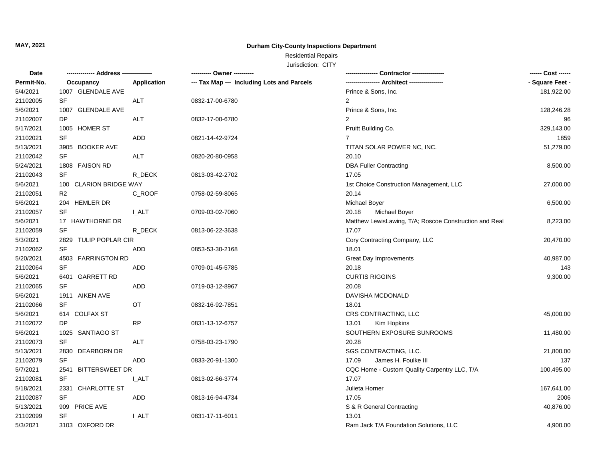## Residential Repairs

| <b>Date</b> |                        |                    | ---------- Owner ----------                |                                                        | ------ Cost ------ |
|-------------|------------------------|--------------------|--------------------------------------------|--------------------------------------------------------|--------------------|
| Permit-No.  | Occupancy              | <b>Application</b> | --- Tax Map --- Including Lots and Parcels |                                                        | - Square Feet -    |
| 5/4/2021    | 1007 GLENDALE AVE      |                    |                                            | Prince & Sons, Inc.                                    | 181,922.00         |
| 21102005    | SF                     | ALT                | 0832-17-00-6780                            | 2                                                      |                    |
| 5/6/2021    | 1007 GLENDALE AVE      |                    |                                            | Prince & Sons, Inc.                                    | 128,246.28         |
| 21102007    | DP                     | <b>ALT</b>         | 0832-17-00-6780                            | 2                                                      | 96                 |
| 5/17/2021   | 1005 HOMER ST          |                    |                                            | Pruitt Building Co.                                    | 329,143.00         |
| 21102021    | SF                     | ADD                | 0821-14-42-9724                            | $\overline{7}$                                         | 1859               |
| 5/13/2021   | 3905 BOOKER AVE        |                    |                                            | TITAN SOLAR POWER NC, INC.                             | 51,279.00          |
| 21102042    | SF                     | ALT                | 0820-20-80-0958                            | 20.10                                                  |                    |
| 5/24/2021   | 1808 FAISON RD         |                    |                                            | <b>DBA Fuller Contracting</b>                          | 8,500.00           |
| 21102043    | SF                     | R_DECK             | 0813-03-42-2702                            | 17.05                                                  |                    |
| 5/6/2021    | 100 CLARION BRIDGE WAY |                    |                                            | 1st Choice Construction Management, LLC                | 27,000.00          |
| 21102051    | R <sub>2</sub>         | C_ROOF             | 0758-02-59-8065                            | 20.14                                                  |                    |
| 5/6/2021    | 204 HEMLER DR          |                    |                                            | <b>Michael Boyer</b>                                   | 6,500.00           |
| 21102057    | SF                     | I_ALT              | 0709-03-02-7060                            | 20.18<br>Michael Boyer                                 |                    |
| 5/6/2021    | 17 HAWTHORNE DR        |                    |                                            | Matthew LewisLawing, T/A; Roscoe Construction and Real | 8,223.00           |
| 21102059    | SF                     | R DECK             | 0813-06-22-3638                            | 17.07                                                  |                    |
| 5/3/2021    | 2829 TULIP POPLAR CIR  |                    |                                            | Cory Contracting Company, LLC                          | 20,470.00          |
| 21102062    | SF                     | ADD                | 0853-53-30-2168                            | 18.01                                                  |                    |
| 5/20/2021   | 4503 FARRINGTON RD     |                    |                                            | Great Day Improvements                                 | 40,987.00          |
| 21102064    | SF                     | ADD                | 0709-01-45-5785                            | 20.18                                                  | 143                |
| 5/6/2021    | 6401 GARRETT RD        |                    |                                            | <b>CURTIS RIGGINS</b>                                  | 9,300.00           |
| 21102065    | SF                     | ADD                | 0719-03-12-8967                            | 20.08                                                  |                    |
| 5/6/2021    | 1911 AIKEN AVE         |                    |                                            | DAVISHA MCDONALD                                       |                    |
| 21102066    | SF                     | OT                 | 0832-16-92-7851                            | 18.01                                                  |                    |
| 5/6/2021    | 614 COLFAX ST          |                    |                                            | CRS CONTRACTING, LLC                                   | 45,000.00          |
| 21102072    | <b>DP</b>              | <b>RP</b>          | 0831-13-12-6757                            | Kim Hopkins<br>13.01                                   |                    |
| 5/6/2021    | 1025 SANTIAGO ST       |                    |                                            | SOUTHERN EXPOSURE SUNROOMS                             | 11,480.00          |
| 21102073    | SF                     | <b>ALT</b>         | 0758-03-23-1790                            | 20.28                                                  |                    |
| 5/13/2021   | 2830 DEARBORN DR       |                    |                                            | SGS CONTRACTING, LLC.                                  | 21,800.00          |
| 21102079    | <b>SF</b>              | <b>ADD</b>         | 0833-20-91-1300                            | 17.09<br>James H. Foulke III                           | 137                |
| 5/7/2021    | 2541 BITTERSWEET DR    |                    |                                            | CQC Home - Custom Quality Carpentry LLC, T/A           | 100,495.00         |
| 21102081    | SF                     | <b>LALT</b>        | 0813-02-66-3774                            | 17.07                                                  |                    |
| 5/18/2021   | 2331 CHARLOTTE ST      |                    |                                            | Julieta Horner                                         | 167,641.00         |
| 21102087    | SF                     | ADD                | 0813-16-94-4734                            | 17.05                                                  | 2006               |
| 5/13/2021   | 909 PRICE AVE          |                    |                                            | S & R General Contracting                              | 40,876.00          |
| 21102099    | SF                     | I ALT              | 0831-17-11-6011                            | 13.01                                                  |                    |
| 5/3/2021    | 3103 OXFORD DR         |                    |                                            | Ram Jack T/A Foundation Solutions, LLC                 | 4,900.00           |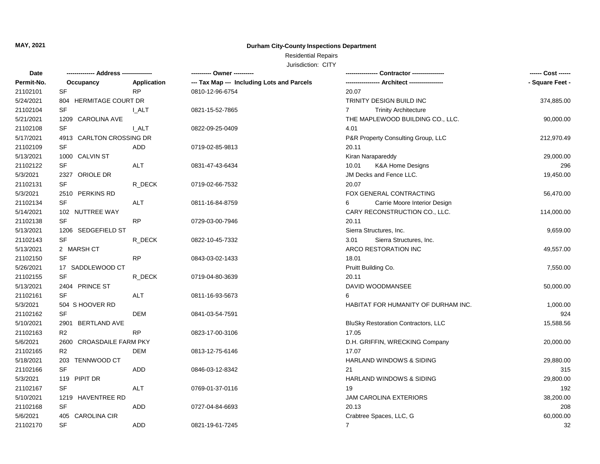### Residential Repairs

| Date       |                          |             | ---------- Owner ----------                |                                               | ------ Cost ------ |
|------------|--------------------------|-------------|--------------------------------------------|-----------------------------------------------|--------------------|
| Permit-No. | Occupancy                | Application | --- Tax Map --- Including Lots and Parcels |                                               | - Square Feet -    |
| 21102101   | SF                       | <b>RP</b>   | 0810-12-96-6754                            | 20.07                                         |                    |
| 5/24/2021  | 804 HERMITAGE COURT DR   |             |                                            | TRINITY DESIGN BUILD INC                      | 374,885.00         |
| 21102104   | SF                       | I_ALT       | 0821-15-52-7865                            | $\overline{7}$<br><b>Trinity Architecture</b> |                    |
| 5/21/2021  | 1209 CAROLINA AVE        |             |                                            | THE MAPLEWOOD BUILDING CO., LLC.              | 90,000.00          |
| 21102108   | <b>SF</b>                | <b>LALT</b> | 0822-09-25-0409                            | 4.01                                          |                    |
| 5/17/2021  | 4913 CARLTON CROSSING DR |             |                                            | P&R Property Consulting Group, LLC            | 212,970.49         |
| 21102109   | <b>SF</b>                | <b>ADD</b>  | 0719-02-85-9813                            | 20.11                                         |                    |
| 5/13/2021  | 1000 CALVIN ST           |             |                                            | Kiran Narapareddy                             | 29,000.00          |
| 21102122   | SF                       | <b>ALT</b>  | 0831-47-43-6434                            | <b>K&amp;A Home Designs</b><br>10.01          | 296                |
| 5/3/2021   | 2327 ORIOLE DR           |             |                                            | JM Decks and Fence LLC.                       | 19,450.00          |
| 21102131   | SF                       | R_DECK      | 0719-02-66-7532                            | 20.07                                         |                    |
| 5/3/2021   | 2510 PERKINS RD          |             |                                            | FOX GENERAL CONTRACTING                       | 56,470.00          |
| 21102134   | SF                       | <b>ALT</b>  | 0811-16-84-8759                            | Carrie Moore Interior Design<br>6             |                    |
| 5/14/2021  | 102 NUTTREE WAY          |             |                                            | CARY RECONSTRUCTION CO., LLC.                 | 114,000.00         |
| 21102138   | SF                       | <b>RP</b>   | 0729-03-00-7946                            | 20.11                                         |                    |
| 5/13/2021  | 1206 SEDGEFIELD ST       |             |                                            | Sierra Structures, Inc.                       | 9,659.00           |
| 21102143   | <b>SF</b>                | R DECK      | 0822-10-45-7332                            | 3.01<br>Sierra Structures, Inc.               |                    |
| 5/13/2021  | 2 MARSH CT               |             |                                            | ARCO RESTORATION INC                          | 49,557.00          |
| 21102150   | <b>SF</b>                | <b>RP</b>   | 0843-03-02-1433                            | 18.01                                         |                    |
| 5/26/2021  | 17 SADDLEWOOD CT         |             |                                            | Pruitt Building Co.                           | 7,550.00           |
| 21102155   | SF                       | R_DECK      | 0719-04-80-3639                            | 20.11                                         |                    |
| 5/13/2021  | 2404 PRINCE ST           |             |                                            | DAVID WOODMANSEE                              | 50,000.00          |
| 21102161   | <b>SF</b>                | <b>ALT</b>  | 0811-16-93-5673                            |                                               |                    |
| 5/3/2021   | 504 S HOOVER RD          |             |                                            | HABITAT FOR HUMANITY OF DURHAM INC.           | 1,000.00           |
| 21102162   | <b>SF</b>                | DEM         | 0841-03-54-7591                            |                                               | 924                |
| 5/10/2021  | 2901 BERTLAND AVE        |             |                                            | <b>BluSky Restoration Contractors, LLC</b>    | 15,588.56          |
| 21102163   | R <sub>2</sub>           | <b>RP</b>   | 0823-17-00-3106                            | 17.05                                         |                    |
| 5/6/2021   | 2600 CROASDAILE FARM PKY |             |                                            | D.H. GRIFFIN, WRECKING Company                | 20,000.00          |
| 21102165   | R <sub>2</sub>           | <b>DEM</b>  | 0813-12-75-6146                            | 17.07                                         |                    |
| 5/18/2021  | 203 TENNWOOD CT          |             |                                            | HARLAND WINDOWS & SIDING                      | 29,880.00          |
| 21102166   | <b>SF</b>                | <b>ADD</b>  | 0846-03-12-8342                            | 21                                            | 315                |
| 5/3/2021   | 119 PIPIT DR             |             |                                            | HARLAND WINDOWS & SIDING                      | 29,800.00          |
| 21102167   | <b>SF</b>                | <b>ALT</b>  | 0769-01-37-0116                            | 19                                            | 192                |
| 5/10/2021  | 1219 HAVENTREE RD        |             |                                            | <b>JAM CAROLINA EXTERIORS</b>                 | 38,200.00          |
| 21102168   | SF                       | ADD         | 0727-04-84-6693                            | 20.13                                         | 208                |
| 5/6/2021   | 405 CAROLINA CIR         |             |                                            | Crabtree Spaces, LLC, G                       | 60,000.00          |
| 21102170   | <b>SF</b>                | <b>ADD</b>  | 0821-19-61-7245                            | $\overline{7}$                                | 32                 |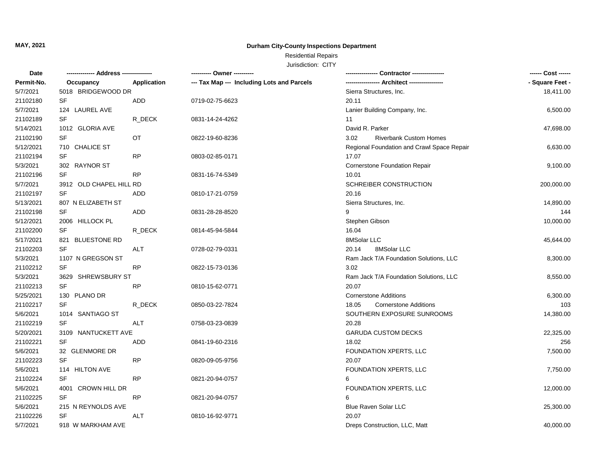## Residential Repairs

| Date       | -------------- Address --------------- |             | ---------- Owner ----------                |                                            |                 |
|------------|----------------------------------------|-------------|--------------------------------------------|--------------------------------------------|-----------------|
| Permit-No. | Occupancy                              | Application | --- Tax Map --- Including Lots and Parcels |                                            | - Square Feet - |
| 5/7/2021   | 5018 BRIDGEWOOD DR                     |             |                                            | Sierra Structures, Inc.                    | 18,411.00       |
| 21102180   | SF                                     | ADD         | 0719-02-75-6623                            | 20.11                                      |                 |
| 5/7/2021   | 124 LAUREL AVE                         |             |                                            | Lanier Building Company, Inc.              | 6,500.00        |
| 21102189   | <b>SF</b>                              | R DECK      | 0831-14-24-4262                            | 11                                         |                 |
| 5/14/2021  | 1012 GLORIA AVE                        |             |                                            | David R. Parker                            | 47,698.00       |
| 21102190   | SF                                     | OT          | 0822-19-60-8236                            | 3.02<br><b>Riverbank Custom Homes</b>      |                 |
| 5/12/2021  | 710 CHALICE ST                         |             |                                            | Regional Foundation and Crawl Space Repair | 6,630.00        |
| 21102194   | SF                                     | RP          | 0803-02-85-0171                            | 17.07                                      |                 |
| 5/3/2021   | 302 RAYNOR ST                          |             |                                            | Cornerstone Foundation Repair              | 9,100.00        |
| 21102196   | SF                                     | <b>RP</b>   | 0831-16-74-5349                            | 10.01                                      |                 |
| 5/7/2021   | 3912 OLD CHAPEL HILL RD                |             |                                            | SCHREIBER CONSTRUCTION                     | 200,000.00      |
| 21102197   | SF                                     | <b>ADD</b>  | 0810-17-21-0759                            | 20.16                                      |                 |
| 5/13/2021  | 807 N ELIZABETH ST                     |             |                                            | Sierra Structures, Inc.                    | 14,890.00       |
| 21102198   | SF                                     | ADD         | 0831-28-28-8520                            |                                            | 144             |
| 5/12/2021  | 2006 HILLOCK PL                        |             |                                            | Stephen Gibson                             | 10,000.00       |
| 21102200   | SF                                     | R DECK      | 0814-45-94-5844                            | 16.04                                      |                 |
| 5/17/2021  | 821 BLUESTONE RD                       |             |                                            | 8MSolar LLC                                | 45,644.00       |
| 21102203   | <b>SF</b>                              | ALT         | 0728-02-79-0331                            | 20.14<br>8MSolar LLC                       |                 |
| 5/3/2021   | 1107 N GREGSON ST                      |             |                                            | Ram Jack T/A Foundation Solutions, LLC     | 8,300.00        |
| 21102212   | <b>SF</b>                              | <b>RP</b>   | 0822-15-73-0136                            | 3.02                                       |                 |
| 5/3/2021   | 3629 SHREWSBURY ST                     |             |                                            | Ram Jack T/A Foundation Solutions, LLC     | 8,550.00        |
| 21102213   | SF                                     | <b>RP</b>   | 0810-15-62-0771                            | 20.07                                      |                 |
| 5/25/2021  | 130 PLANO DR                           |             |                                            | <b>Cornerstone Additions</b>               | 6,300.00        |
| 21102217   | <b>SF</b>                              | R DECK      | 0850-03-22-7824                            | <b>Cornerstone Additions</b><br>18.05      | 103             |
| 5/6/2021   | 1014 SANTIAGO ST                       |             |                                            | SOUTHERN EXPOSURE SUNROOMS                 | 14,380.00       |
| 21102219   | SF                                     | <b>ALT</b>  | 0758-03-23-0839                            | 20.28                                      |                 |
| 5/20/2021  | 3109 NANTUCKETT AVE                    |             |                                            | <b>GARUDA CUSTOM DECKS</b>                 | 22,325.00       |
| 21102221   | SF                                     | ADD         | 0841-19-60-2316                            | 18.02                                      | 256             |
| 5/6/2021   | 32 GLENMORE DR                         |             |                                            | FOUNDATION XPERTS, LLC                     | 7,500.00        |
| 21102223   | <b>SF</b>                              | <b>RP</b>   | 0820-09-05-9756                            | 20.07                                      |                 |
| 5/6/2021   | 114 HILTON AVE                         |             |                                            | FOUNDATION XPERTS, LLC                     | 7,750.00        |
| 21102224   | <b>SF</b>                              | <b>RP</b>   | 0821-20-94-0757                            | 6                                          |                 |
| 5/6/2021   | 4001 CROWN HILL DR                     |             |                                            | FOUNDATION XPERTS, LLC                     | 12,000.00       |
| 21102225   | <b>SF</b>                              | <b>RP</b>   | 0821-20-94-0757                            | 6                                          |                 |
| 5/6/2021   | 215 N REYNOLDS AVE                     |             |                                            | Blue Raven Solar LLC                       | 25,300.00       |
| 21102226   | SF                                     | <b>ALT</b>  | 0810-16-92-9771                            | 20.07                                      |                 |
| 5/7/2021   | 918 W MARKHAM AVE                      |             |                                            | Dreps Construction, LLC, Matt              | 40,000.00       |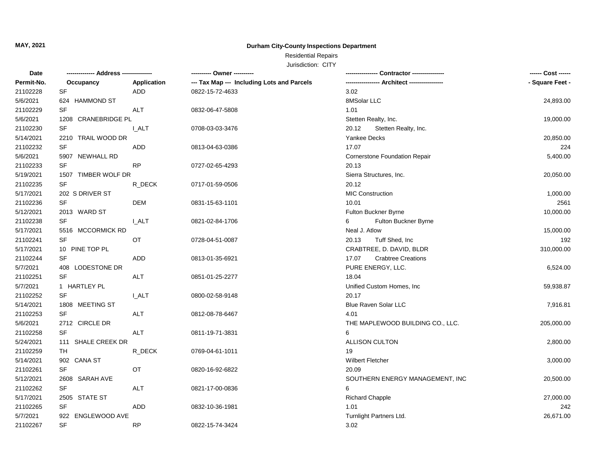## Residential Repairs

| Date       | -------------- Address --------------- |              | ---------- Owner ----------                | Contractor ---------------         | ------ Cost ------ |
|------------|----------------------------------------|--------------|--------------------------------------------|------------------------------------|--------------------|
| Permit-No. | Occupancy                              | Application  | --- Tax Map --- Including Lots and Parcels |                                    | - Square Feet -    |
| 21102228   | SF                                     | ADD          | 0822-15-72-4633                            | 3.02                               |                    |
| 5/6/2021   | 624 HAMMOND ST                         |              |                                            | 8MSolar LLC                        | 24,893.00          |
| 21102229   | SF                                     | <b>ALT</b>   | 0832-06-47-5808                            | 1.01                               |                    |
| 5/6/2021   | 1208 CRANEBRIDGE PL                    |              |                                            | Stetten Realty, Inc.               | 19,000.00          |
| 21102230   | SF                                     | <b>L_ALT</b> | 0708-03-03-3476                            | 20.12<br>Stetten Realty, Inc.      |                    |
| 5/14/2021  | 2210 TRAIL WOOD DR                     |              |                                            | <b>Yankee Decks</b>                | 20,850.00          |
| 21102232   | SF                                     | ADD          | 0813-04-63-0386                            | 17.07                              | 224                |
| 5/6/2021   | 5907 NEWHALL RD                        |              |                                            | Cornerstone Foundation Repair      | 5,400.00           |
| 21102233   | SF                                     | <b>RP</b>    | 0727-02-65-4293                            | 20.13                              |                    |
| 5/19/2021  | 1507 TIMBER WOLF DR                    |              |                                            | Sierra Structures, Inc.            | 20,050.00          |
| 21102235   | SF                                     | R_DECK       | 0717-01-59-0506                            | 20.12                              |                    |
| 5/17/2021  | 202 S DRIVER ST                        |              |                                            | <b>MIC Construction</b>            | 1,000.00           |
| 21102236   | <b>SF</b>                              | <b>DEM</b>   | 0831-15-63-1101                            | 10.01                              | 2561               |
| 5/12/2021  | 2013 WARD ST                           |              |                                            | Fulton Buckner Byrne               | 10,000.00          |
| 21102238   | SF                                     | <b>I_ALT</b> | 0821-02-84-1706                            | 6<br>Fulton Buckner Byrne          |                    |
| 5/17/2021  | 5516 MCCORMICK RD                      |              |                                            | Neal J. Atlow                      | 15,000.00          |
| 21102241   | SF                                     | OT           | 0728-04-51-0087                            | Tuff Shed, Inc<br>20.13            | 192                |
| 5/17/2021  | 10 PINE TOP PL                         |              |                                            | CRABTREE, D. DAVID, BLDR           | 310,000.00         |
| 21102244   | <b>SF</b>                              | <b>ADD</b>   | 0813-01-35-6921                            | 17.07<br><b>Crabtree Creations</b> |                    |
| 5/7/2021   | 408 LODESTONE DR                       |              |                                            | PURE ENERGY, LLC.                  | 6,524.00           |
| 21102251   | <b>SF</b>                              | <b>ALT</b>   | 0851-01-25-2277                            | 18.04                              |                    |
| 5/7/2021   | 1 HARTLEY PL                           |              |                                            | Unified Custom Homes, Inc          | 59,938.87          |
| 21102252   | <b>SF</b>                              | <b>I_ALT</b> | 0800-02-58-9148                            | 20.17                              |                    |
| 5/14/2021  | 1808 MEETING ST                        |              |                                            | <b>Blue Raven Solar LLC</b>        | 7,916.81           |
| 21102253   | SF                                     | <b>ALT</b>   | 0812-08-78-6467                            | 4.01                               |                    |
| 5/6/2021   | 2712 CIRCLE DR                         |              |                                            | THE MAPLEWOOD BUILDING CO., LLC.   | 205,000.00         |
| 21102258   | <b>SF</b>                              | <b>ALT</b>   | 0811-19-71-3831                            | 6                                  |                    |
| 5/24/2021  | 111 SHALE CREEK DR                     |              |                                            | ALLISON CULTON                     | 2,800.00           |
| 21102259   | TH                                     | R_DECK       | 0769-04-61-1011                            | 19                                 |                    |
| 5/14/2021  | 902 CANA ST                            |              |                                            | <b>Wilbert Fletcher</b>            | 3,000.00           |
| 21102261   | <b>SF</b>                              | OT           | 0820-16-92-6822                            | 20.09                              |                    |
| 5/12/2021  | 2608 SARAH AVE                         |              |                                            | SOUTHERN ENERGY MANAGEMENT, INC    | 20,500.00          |
| 21102262   | <b>SF</b>                              | ALT          | 0821-17-00-0836                            | 6                                  |                    |
| 5/17/2021  | 2505 STATE ST                          |              |                                            | <b>Richard Chapple</b>             | 27,000.00          |
| 21102265   | <b>SF</b>                              | <b>ADD</b>   | 0832-10-36-1981                            | 1.01                               | 242                |
| 5/7/2021   | 922 ENGLEWOOD AVE                      |              |                                            | Turnlight Partners Ltd.            | 26,671.00          |
| 21102267   | SF                                     | RP           | 0822-15-74-3424                            | 3.02                               |                    |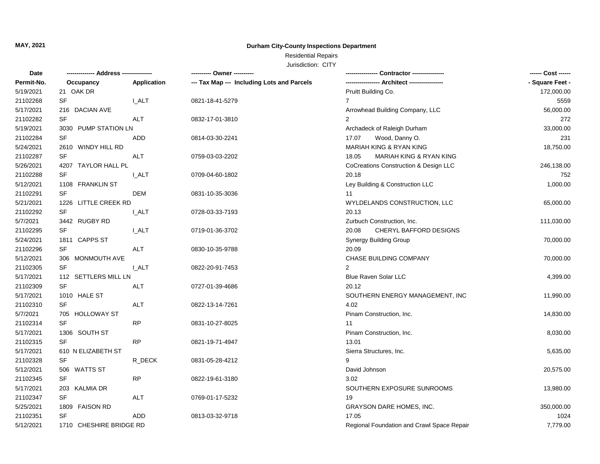## Residential Repairs

| Permit-No.<br>Application<br>--- Tax Map --- Including Lots and Parcels<br>Occupancy<br>5/19/2021<br>21 OAK DR<br>Pruitt Building Co.<br>21102268<br><b>SF</b><br><b>LALT</b><br>$\overline{7}$<br>0821-18-41-5279<br>5/17/2021<br>216 DACIAN AVE<br>Arrowhead Building Company, LLC<br>21102282<br><b>SF</b><br><b>ALT</b><br>2<br>0832-17-01-3810<br>5/19/2021<br>3030 PUMP STATION LN<br>Archadeck of Raleigh Durham<br>33,000.00<br>21102284<br>SF<br>Wood, Danny O.<br>ADD<br>0814-03-30-2241<br>17.07<br>MARIAH KING & RYAN KING<br>5/24/2021<br>2610 WINDY HILL RD<br>SF<br>MARIAH KING & RYAN KING<br>21102287<br><b>ALT</b><br>0759-03-03-2202<br>18.05<br>5/26/2021<br>4207 TAYLOR HALL PL<br>CoCreations Construction & Design LLC<br>246,138.00<br>21102288<br><b>SF</b><br><b>I_ALT</b><br>20.18<br>0709-04-60-1802<br>5/12/2021<br>1108 FRANKLIN ST<br>Ley Building & Construction LLC<br>21102291<br>SF<br><b>DEM</b><br>11<br>0831-10-35-3036<br>5/21/2021<br>1226 LITTLE CREEK RD<br>WYLDELANDS CONSTRUCTION, LLC<br>65,000.00<br>21102292<br><b>SF</b><br><b>I_ALT</b><br>20.13<br>0728-03-33-7193<br>5/7/2021<br>3442 RUGBY RD<br>Zurbuch Construction, Inc.<br>111,030.00<br>21102295<br><b>SF</b><br><b>I_ALT</b><br>20.08<br>CHERYL BAFFORD DESIGNS<br>0719-01-36-3702<br>5/24/2021<br>1811 CAPPS ST<br>Synergy Building Group<br>70,000.00<br>21102296<br>SF<br>20.09<br>ALT<br>0830-10-35-9788<br>5/12/2021<br>306 MONMOUTH AVE<br>CHASE BUILDING COMPANY<br>70,000.00<br>21102305<br><b>SF</b><br><b>I_ALT</b><br>0822-20-91-7453<br>2<br>5/17/2021<br>Blue Raven Solar LLC<br>112 SETTLERS MILL LN<br>4,399.00<br>SF<br>21102309<br><b>ALT</b><br>0727-01-39-4686<br>20.12<br>5/17/2021<br>1010 HALE ST<br>SOUTHERN ENERGY MANAGEMENT, INC<br>11,990.00<br><b>SF</b><br>4.02<br>21102310<br>ALT<br>0822-13-14-7261<br>5/7/2021<br>705 HOLLOWAY ST<br>Pinam Construction, Inc.<br>14,830.00<br><b>SF</b><br><b>RP</b><br>21102314<br>11<br>0831-10-27-8025<br>5/17/2021<br>1306 SOUTH ST<br>Pinam Construction, Inc.<br>8,030.00<br>SF<br>RP<br>21102315<br>0821-19-71-4947<br>13.01<br>5/17/2021<br>610 N ELIZABETH ST<br>Sierra Structures, Inc.<br>5,635.00<br>21102328<br><b>SF</b><br>R DECK<br>0831-05-28-4212<br>$\mathbf{Q}$<br>5/12/2021<br>506 WATTS ST<br>David Johnson<br>20,575.00<br>21102345<br><b>RP</b><br><b>SF</b><br>3.02<br>0822-19-61-3180<br>5/17/2021<br>203 KALMIA DR<br>SOUTHERN EXPOSURE SUNROOMS<br>13,980.00<br>21102347<br><b>SF</b><br><b>ALT</b><br>0769-01-17-5232<br>19<br>5/25/2021<br>1809 FAISON RD<br><b>GRAYSON DARE HOMES, INC.</b><br>350,000.00<br><b>SF</b><br>21102351<br><b>ADD</b><br>0813-03-32-9718<br>17.05<br>1024 | Date      |                         | ---------- Owner ---------- |                                            | ------ Cost ------ |
|-----------------------------------------------------------------------------------------------------------------------------------------------------------------------------------------------------------------------------------------------------------------------------------------------------------------------------------------------------------------------------------------------------------------------------------------------------------------------------------------------------------------------------------------------------------------------------------------------------------------------------------------------------------------------------------------------------------------------------------------------------------------------------------------------------------------------------------------------------------------------------------------------------------------------------------------------------------------------------------------------------------------------------------------------------------------------------------------------------------------------------------------------------------------------------------------------------------------------------------------------------------------------------------------------------------------------------------------------------------------------------------------------------------------------------------------------------------------------------------------------------------------------------------------------------------------------------------------------------------------------------------------------------------------------------------------------------------------------------------------------------------------------------------------------------------------------------------------------------------------------------------------------------------------------------------------------------------------------------------------------------------------------------------------------------------------------------------------------------------------------------------------------------------------------------------------------------------------------------------------------------------------------------------------------------------------------------------------------------------------------------------------------------------------------------------------------------------------------------------------------------------------------------------------------------------------------------------------------------------------------------------------------------------------------------------------------|-----------|-------------------------|-----------------------------|--------------------------------------------|--------------------|
|                                                                                                                                                                                                                                                                                                                                                                                                                                                                                                                                                                                                                                                                                                                                                                                                                                                                                                                                                                                                                                                                                                                                                                                                                                                                                                                                                                                                                                                                                                                                                                                                                                                                                                                                                                                                                                                                                                                                                                                                                                                                                                                                                                                                                                                                                                                                                                                                                                                                                                                                                                                                                                                                                               |           |                         |                             |                                            | - Square Feet -    |
|                                                                                                                                                                                                                                                                                                                                                                                                                                                                                                                                                                                                                                                                                                                                                                                                                                                                                                                                                                                                                                                                                                                                                                                                                                                                                                                                                                                                                                                                                                                                                                                                                                                                                                                                                                                                                                                                                                                                                                                                                                                                                                                                                                                                                                                                                                                                                                                                                                                                                                                                                                                                                                                                                               |           |                         |                             |                                            | 172,000.00         |
|                                                                                                                                                                                                                                                                                                                                                                                                                                                                                                                                                                                                                                                                                                                                                                                                                                                                                                                                                                                                                                                                                                                                                                                                                                                                                                                                                                                                                                                                                                                                                                                                                                                                                                                                                                                                                                                                                                                                                                                                                                                                                                                                                                                                                                                                                                                                                                                                                                                                                                                                                                                                                                                                                               |           |                         |                             |                                            | 5559               |
|                                                                                                                                                                                                                                                                                                                                                                                                                                                                                                                                                                                                                                                                                                                                                                                                                                                                                                                                                                                                                                                                                                                                                                                                                                                                                                                                                                                                                                                                                                                                                                                                                                                                                                                                                                                                                                                                                                                                                                                                                                                                                                                                                                                                                                                                                                                                                                                                                                                                                                                                                                                                                                                                                               |           |                         |                             |                                            | 56,000.00          |
|                                                                                                                                                                                                                                                                                                                                                                                                                                                                                                                                                                                                                                                                                                                                                                                                                                                                                                                                                                                                                                                                                                                                                                                                                                                                                                                                                                                                                                                                                                                                                                                                                                                                                                                                                                                                                                                                                                                                                                                                                                                                                                                                                                                                                                                                                                                                                                                                                                                                                                                                                                                                                                                                                               |           |                         |                             |                                            | 272                |
|                                                                                                                                                                                                                                                                                                                                                                                                                                                                                                                                                                                                                                                                                                                                                                                                                                                                                                                                                                                                                                                                                                                                                                                                                                                                                                                                                                                                                                                                                                                                                                                                                                                                                                                                                                                                                                                                                                                                                                                                                                                                                                                                                                                                                                                                                                                                                                                                                                                                                                                                                                                                                                                                                               |           |                         |                             |                                            |                    |
|                                                                                                                                                                                                                                                                                                                                                                                                                                                                                                                                                                                                                                                                                                                                                                                                                                                                                                                                                                                                                                                                                                                                                                                                                                                                                                                                                                                                                                                                                                                                                                                                                                                                                                                                                                                                                                                                                                                                                                                                                                                                                                                                                                                                                                                                                                                                                                                                                                                                                                                                                                                                                                                                                               |           |                         |                             |                                            | 231                |
|                                                                                                                                                                                                                                                                                                                                                                                                                                                                                                                                                                                                                                                                                                                                                                                                                                                                                                                                                                                                                                                                                                                                                                                                                                                                                                                                                                                                                                                                                                                                                                                                                                                                                                                                                                                                                                                                                                                                                                                                                                                                                                                                                                                                                                                                                                                                                                                                                                                                                                                                                                                                                                                                                               |           |                         |                             |                                            | 18,750.00          |
|                                                                                                                                                                                                                                                                                                                                                                                                                                                                                                                                                                                                                                                                                                                                                                                                                                                                                                                                                                                                                                                                                                                                                                                                                                                                                                                                                                                                                                                                                                                                                                                                                                                                                                                                                                                                                                                                                                                                                                                                                                                                                                                                                                                                                                                                                                                                                                                                                                                                                                                                                                                                                                                                                               |           |                         |                             |                                            |                    |
|                                                                                                                                                                                                                                                                                                                                                                                                                                                                                                                                                                                                                                                                                                                                                                                                                                                                                                                                                                                                                                                                                                                                                                                                                                                                                                                                                                                                                                                                                                                                                                                                                                                                                                                                                                                                                                                                                                                                                                                                                                                                                                                                                                                                                                                                                                                                                                                                                                                                                                                                                                                                                                                                                               |           |                         |                             |                                            |                    |
|                                                                                                                                                                                                                                                                                                                                                                                                                                                                                                                                                                                                                                                                                                                                                                                                                                                                                                                                                                                                                                                                                                                                                                                                                                                                                                                                                                                                                                                                                                                                                                                                                                                                                                                                                                                                                                                                                                                                                                                                                                                                                                                                                                                                                                                                                                                                                                                                                                                                                                                                                                                                                                                                                               |           |                         |                             |                                            | 752                |
|                                                                                                                                                                                                                                                                                                                                                                                                                                                                                                                                                                                                                                                                                                                                                                                                                                                                                                                                                                                                                                                                                                                                                                                                                                                                                                                                                                                                                                                                                                                                                                                                                                                                                                                                                                                                                                                                                                                                                                                                                                                                                                                                                                                                                                                                                                                                                                                                                                                                                                                                                                                                                                                                                               |           |                         |                             |                                            | 1,000.00           |
|                                                                                                                                                                                                                                                                                                                                                                                                                                                                                                                                                                                                                                                                                                                                                                                                                                                                                                                                                                                                                                                                                                                                                                                                                                                                                                                                                                                                                                                                                                                                                                                                                                                                                                                                                                                                                                                                                                                                                                                                                                                                                                                                                                                                                                                                                                                                                                                                                                                                                                                                                                                                                                                                                               |           |                         |                             |                                            |                    |
|                                                                                                                                                                                                                                                                                                                                                                                                                                                                                                                                                                                                                                                                                                                                                                                                                                                                                                                                                                                                                                                                                                                                                                                                                                                                                                                                                                                                                                                                                                                                                                                                                                                                                                                                                                                                                                                                                                                                                                                                                                                                                                                                                                                                                                                                                                                                                                                                                                                                                                                                                                                                                                                                                               |           |                         |                             |                                            |                    |
|                                                                                                                                                                                                                                                                                                                                                                                                                                                                                                                                                                                                                                                                                                                                                                                                                                                                                                                                                                                                                                                                                                                                                                                                                                                                                                                                                                                                                                                                                                                                                                                                                                                                                                                                                                                                                                                                                                                                                                                                                                                                                                                                                                                                                                                                                                                                                                                                                                                                                                                                                                                                                                                                                               |           |                         |                             |                                            |                    |
|                                                                                                                                                                                                                                                                                                                                                                                                                                                                                                                                                                                                                                                                                                                                                                                                                                                                                                                                                                                                                                                                                                                                                                                                                                                                                                                                                                                                                                                                                                                                                                                                                                                                                                                                                                                                                                                                                                                                                                                                                                                                                                                                                                                                                                                                                                                                                                                                                                                                                                                                                                                                                                                                                               |           |                         |                             |                                            |                    |
|                                                                                                                                                                                                                                                                                                                                                                                                                                                                                                                                                                                                                                                                                                                                                                                                                                                                                                                                                                                                                                                                                                                                                                                                                                                                                                                                                                                                                                                                                                                                                                                                                                                                                                                                                                                                                                                                                                                                                                                                                                                                                                                                                                                                                                                                                                                                                                                                                                                                                                                                                                                                                                                                                               |           |                         |                             |                                            |                    |
|                                                                                                                                                                                                                                                                                                                                                                                                                                                                                                                                                                                                                                                                                                                                                                                                                                                                                                                                                                                                                                                                                                                                                                                                                                                                                                                                                                                                                                                                                                                                                                                                                                                                                                                                                                                                                                                                                                                                                                                                                                                                                                                                                                                                                                                                                                                                                                                                                                                                                                                                                                                                                                                                                               |           |                         |                             |                                            |                    |
|                                                                                                                                                                                                                                                                                                                                                                                                                                                                                                                                                                                                                                                                                                                                                                                                                                                                                                                                                                                                                                                                                                                                                                                                                                                                                                                                                                                                                                                                                                                                                                                                                                                                                                                                                                                                                                                                                                                                                                                                                                                                                                                                                                                                                                                                                                                                                                                                                                                                                                                                                                                                                                                                                               |           |                         |                             |                                            |                    |
|                                                                                                                                                                                                                                                                                                                                                                                                                                                                                                                                                                                                                                                                                                                                                                                                                                                                                                                                                                                                                                                                                                                                                                                                                                                                                                                                                                                                                                                                                                                                                                                                                                                                                                                                                                                                                                                                                                                                                                                                                                                                                                                                                                                                                                                                                                                                                                                                                                                                                                                                                                                                                                                                                               |           |                         |                             |                                            |                    |
|                                                                                                                                                                                                                                                                                                                                                                                                                                                                                                                                                                                                                                                                                                                                                                                                                                                                                                                                                                                                                                                                                                                                                                                                                                                                                                                                                                                                                                                                                                                                                                                                                                                                                                                                                                                                                                                                                                                                                                                                                                                                                                                                                                                                                                                                                                                                                                                                                                                                                                                                                                                                                                                                                               |           |                         |                             |                                            |                    |
|                                                                                                                                                                                                                                                                                                                                                                                                                                                                                                                                                                                                                                                                                                                                                                                                                                                                                                                                                                                                                                                                                                                                                                                                                                                                                                                                                                                                                                                                                                                                                                                                                                                                                                                                                                                                                                                                                                                                                                                                                                                                                                                                                                                                                                                                                                                                                                                                                                                                                                                                                                                                                                                                                               |           |                         |                             |                                            |                    |
|                                                                                                                                                                                                                                                                                                                                                                                                                                                                                                                                                                                                                                                                                                                                                                                                                                                                                                                                                                                                                                                                                                                                                                                                                                                                                                                                                                                                                                                                                                                                                                                                                                                                                                                                                                                                                                                                                                                                                                                                                                                                                                                                                                                                                                                                                                                                                                                                                                                                                                                                                                                                                                                                                               |           |                         |                             |                                            |                    |
|                                                                                                                                                                                                                                                                                                                                                                                                                                                                                                                                                                                                                                                                                                                                                                                                                                                                                                                                                                                                                                                                                                                                                                                                                                                                                                                                                                                                                                                                                                                                                                                                                                                                                                                                                                                                                                                                                                                                                                                                                                                                                                                                                                                                                                                                                                                                                                                                                                                                                                                                                                                                                                                                                               |           |                         |                             |                                            |                    |
|                                                                                                                                                                                                                                                                                                                                                                                                                                                                                                                                                                                                                                                                                                                                                                                                                                                                                                                                                                                                                                                                                                                                                                                                                                                                                                                                                                                                                                                                                                                                                                                                                                                                                                                                                                                                                                                                                                                                                                                                                                                                                                                                                                                                                                                                                                                                                                                                                                                                                                                                                                                                                                                                                               |           |                         |                             |                                            |                    |
|                                                                                                                                                                                                                                                                                                                                                                                                                                                                                                                                                                                                                                                                                                                                                                                                                                                                                                                                                                                                                                                                                                                                                                                                                                                                                                                                                                                                                                                                                                                                                                                                                                                                                                                                                                                                                                                                                                                                                                                                                                                                                                                                                                                                                                                                                                                                                                                                                                                                                                                                                                                                                                                                                               |           |                         |                             |                                            |                    |
|                                                                                                                                                                                                                                                                                                                                                                                                                                                                                                                                                                                                                                                                                                                                                                                                                                                                                                                                                                                                                                                                                                                                                                                                                                                                                                                                                                                                                                                                                                                                                                                                                                                                                                                                                                                                                                                                                                                                                                                                                                                                                                                                                                                                                                                                                                                                                                                                                                                                                                                                                                                                                                                                                               |           |                         |                             |                                            |                    |
|                                                                                                                                                                                                                                                                                                                                                                                                                                                                                                                                                                                                                                                                                                                                                                                                                                                                                                                                                                                                                                                                                                                                                                                                                                                                                                                                                                                                                                                                                                                                                                                                                                                                                                                                                                                                                                                                                                                                                                                                                                                                                                                                                                                                                                                                                                                                                                                                                                                                                                                                                                                                                                                                                               |           |                         |                             |                                            |                    |
|                                                                                                                                                                                                                                                                                                                                                                                                                                                                                                                                                                                                                                                                                                                                                                                                                                                                                                                                                                                                                                                                                                                                                                                                                                                                                                                                                                                                                                                                                                                                                                                                                                                                                                                                                                                                                                                                                                                                                                                                                                                                                                                                                                                                                                                                                                                                                                                                                                                                                                                                                                                                                                                                                               |           |                         |                             |                                            |                    |
|                                                                                                                                                                                                                                                                                                                                                                                                                                                                                                                                                                                                                                                                                                                                                                                                                                                                                                                                                                                                                                                                                                                                                                                                                                                                                                                                                                                                                                                                                                                                                                                                                                                                                                                                                                                                                                                                                                                                                                                                                                                                                                                                                                                                                                                                                                                                                                                                                                                                                                                                                                                                                                                                                               |           |                         |                             |                                            |                    |
|                                                                                                                                                                                                                                                                                                                                                                                                                                                                                                                                                                                                                                                                                                                                                                                                                                                                                                                                                                                                                                                                                                                                                                                                                                                                                                                                                                                                                                                                                                                                                                                                                                                                                                                                                                                                                                                                                                                                                                                                                                                                                                                                                                                                                                                                                                                                                                                                                                                                                                                                                                                                                                                                                               |           |                         |                             |                                            |                    |
|                                                                                                                                                                                                                                                                                                                                                                                                                                                                                                                                                                                                                                                                                                                                                                                                                                                                                                                                                                                                                                                                                                                                                                                                                                                                                                                                                                                                                                                                                                                                                                                                                                                                                                                                                                                                                                                                                                                                                                                                                                                                                                                                                                                                                                                                                                                                                                                                                                                                                                                                                                                                                                                                                               |           |                         |                             |                                            |                    |
|                                                                                                                                                                                                                                                                                                                                                                                                                                                                                                                                                                                                                                                                                                                                                                                                                                                                                                                                                                                                                                                                                                                                                                                                                                                                                                                                                                                                                                                                                                                                                                                                                                                                                                                                                                                                                                                                                                                                                                                                                                                                                                                                                                                                                                                                                                                                                                                                                                                                                                                                                                                                                                                                                               |           |                         |                             |                                            |                    |
|                                                                                                                                                                                                                                                                                                                                                                                                                                                                                                                                                                                                                                                                                                                                                                                                                                                                                                                                                                                                                                                                                                                                                                                                                                                                                                                                                                                                                                                                                                                                                                                                                                                                                                                                                                                                                                                                                                                                                                                                                                                                                                                                                                                                                                                                                                                                                                                                                                                                                                                                                                                                                                                                                               |           |                         |                             |                                            |                    |
|                                                                                                                                                                                                                                                                                                                                                                                                                                                                                                                                                                                                                                                                                                                                                                                                                                                                                                                                                                                                                                                                                                                                                                                                                                                                                                                                                                                                                                                                                                                                                                                                                                                                                                                                                                                                                                                                                                                                                                                                                                                                                                                                                                                                                                                                                                                                                                                                                                                                                                                                                                                                                                                                                               |           |                         |                             |                                            |                    |
|                                                                                                                                                                                                                                                                                                                                                                                                                                                                                                                                                                                                                                                                                                                                                                                                                                                                                                                                                                                                                                                                                                                                                                                                                                                                                                                                                                                                                                                                                                                                                                                                                                                                                                                                                                                                                                                                                                                                                                                                                                                                                                                                                                                                                                                                                                                                                                                                                                                                                                                                                                                                                                                                                               |           |                         |                             |                                            |                    |
|                                                                                                                                                                                                                                                                                                                                                                                                                                                                                                                                                                                                                                                                                                                                                                                                                                                                                                                                                                                                                                                                                                                                                                                                                                                                                                                                                                                                                                                                                                                                                                                                                                                                                                                                                                                                                                                                                                                                                                                                                                                                                                                                                                                                                                                                                                                                                                                                                                                                                                                                                                                                                                                                                               |           |                         |                             |                                            |                    |
|                                                                                                                                                                                                                                                                                                                                                                                                                                                                                                                                                                                                                                                                                                                                                                                                                                                                                                                                                                                                                                                                                                                                                                                                                                                                                                                                                                                                                                                                                                                                                                                                                                                                                                                                                                                                                                                                                                                                                                                                                                                                                                                                                                                                                                                                                                                                                                                                                                                                                                                                                                                                                                                                                               | 5/12/2021 | 1710 CHESHIRE BRIDGE RD |                             | Regional Foundation and Crawl Space Repair | 7,779.00           |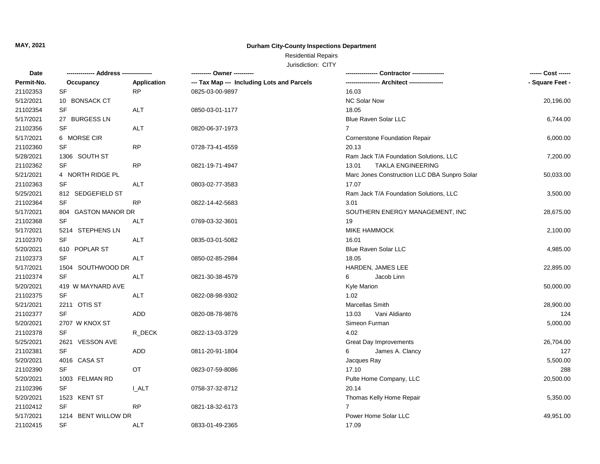### Residential Repairs

| Date       | -------------- Address --------------- |                    |                                            |                                              | ------ Cost ------ |
|------------|----------------------------------------|--------------------|--------------------------------------------|----------------------------------------------|--------------------|
| Permit-No. | Occupancy                              | <b>Application</b> | --- Tax Map --- Including Lots and Parcels |                                              | - Square Feet -    |
| 21102353   | SF                                     | <b>RP</b>          | 0825-03-00-9897                            | 16.03                                        |                    |
| 5/12/2021  | 10 BONSACK CT                          |                    |                                            | <b>NC Solar Now</b>                          | 20,196.00          |
| 21102354   | SF                                     | <b>ALT</b>         | 0850-03-01-1177                            | 18.05                                        |                    |
| 5/17/2021  | 27 BURGESS LN                          |                    |                                            | Blue Raven Solar LLC                         | 6,744.00           |
| 21102356   | <b>SF</b>                              | <b>ALT</b>         | 0820-06-37-1973                            | $\overline{7}$                               |                    |
| 5/17/2021  | 6 MORSE CIR                            |                    |                                            | <b>Cornerstone Foundation Repair</b>         | 6,000.00           |
| 21102360   | <b>SF</b>                              | <b>RP</b>          | 0728-73-41-4559                            | 20.13                                        |                    |
| 5/28/2021  | 1306 SOUTH ST                          |                    |                                            | Ram Jack T/A Foundation Solutions, LLC       | 7,200.00           |
| 21102362   | <b>SF</b>                              | <b>RP</b>          | 0821-19-71-4947                            | 13.01<br><b>TAKLA ENGINEERING</b>            |                    |
| 5/21/2021  | 4 NORTH RIDGE PL                       |                    |                                            | Marc Jones Construction LLC DBA Sunpro Solar | 50,033.00          |
| 21102363   | <b>SF</b>                              | <b>ALT</b>         | 0803-02-77-3583                            | 17.07                                        |                    |
| 5/25/2021  | 812 SEDGEFIELD ST                      |                    |                                            | Ram Jack T/A Foundation Solutions, LLC       | 3,500.00           |
| 21102364   | <b>SF</b>                              | RP                 | 0822-14-42-5683                            | 3.01                                         |                    |
| 5/17/2021  | 804 GASTON MANOR DR                    |                    |                                            | SOUTHERN ENERGY MANAGEMENT, INC              | 28,675.00          |
| 21102368   | SF                                     | <b>ALT</b>         | 0769-03-32-3601                            | 19                                           |                    |
| 5/17/2021  | 5214 STEPHENS LN                       |                    |                                            | <b>MIKE HAMMOCK</b>                          | 2,100.00           |
| 21102370   | <b>SF</b>                              | <b>ALT</b>         | 0835-03-01-5082                            | 16.01                                        |                    |
| 5/20/2021  | 610 POPLAR ST                          |                    |                                            | <b>Blue Raven Solar LLC</b>                  | 4,985.00           |
| 21102373   | <b>SF</b>                              | <b>ALT</b>         | 0850-02-85-2984                            | 18.05                                        |                    |
| 5/17/2021  | 1504 SOUTHWOOD DR                      |                    |                                            | HARDEN, JAMES LEE                            | 22,895.00          |
| 21102374   | <b>SF</b>                              | ALT                | 0821-30-38-4579                            | Jacob Linn<br>6                              |                    |
| 5/20/2021  | 419 W MAYNARD AVE                      |                    |                                            | Kyle Marion                                  | 50,000.00          |
| 21102375   | <b>SF</b>                              | <b>ALT</b>         | 0822-08-98-9302                            | 1.02                                         |                    |
| 5/21/2021  | 2211 OTIS ST                           |                    |                                            | Marcellas Smith                              | 28,900.00          |
| 21102377   | SF                                     | <b>ADD</b>         | 0820-08-78-9876                            | 13.03<br>Vani Aldianto                       | 124                |
| 5/20/2021  | 2707 W KNOX ST                         |                    |                                            | Simeon Furman                                | 5,000.00           |
| 21102378   | SF                                     | R_DECK             | 0822-13-03-3729                            | 4.02                                         |                    |
| 5/25/2021  | 2621 VESSON AVE                        |                    |                                            | <b>Great Day Improvements</b>                | 26,704.00          |
| 21102381   | SF                                     | <b>ADD</b>         | 0811-20-91-1804                            | James A. Clancy<br>6                         | 127                |
| 5/20/2021  | 4016 CASA ST                           |                    |                                            | Jacques Ray                                  | 5,500.00           |
| 21102390   | <b>SF</b>                              | OT                 | 0823-07-59-8086                            | 17.10                                        | 288                |
| 5/20/2021  | 1003 FELMAN RD                         |                    |                                            | Pulte Home Company, LLC                      | 20,500.00          |
| 21102396   | <b>SF</b>                              | <b>I_ALT</b>       | 0758-37-32-8712                            | 20.14                                        |                    |
| 5/20/2021  | 1523 KENT ST                           |                    |                                            | Thomas Kelly Home Repair                     | 5,350.00           |
| 21102412   | <b>SF</b>                              | <b>RP</b>          | 0821-18-32-6173                            | $\overline{7}$                               |                    |
| 5/17/2021  | 1214 BENT WILLOW DR                    |                    |                                            | Power Home Solar LLC                         | 49,951.00          |
| 21102415   | <b>SF</b>                              | <b>ALT</b>         | 0833-01-49-2365                            | 17.09                                        |                    |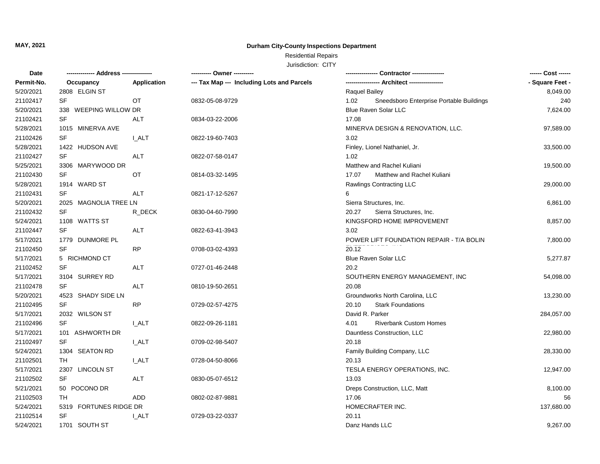## Residential Repairs

| Date       |                        |              | ---------- Owner ----------                |                                                  | ------ Cost ------ |
|------------|------------------------|--------------|--------------------------------------------|--------------------------------------------------|--------------------|
| Permit-No. | Occupancy              | Application  | --- Tax Map --- Including Lots and Parcels |                                                  | - Square Feet -    |
| 5/20/2021  | 2808 ELGIN ST          |              |                                            | Raquel Bailey                                    | 8,049.00           |
| 21102417   | <b>SF</b>              | <b>OT</b>    | 0832-05-08-9729                            | 1.02<br>Sneedsboro Enterprise Portable Buildings | 240                |
| 5/20/2021  | 338 WEEPING WILLOW DR  |              |                                            | Blue Raven Solar LLC                             | 7,624.00           |
| 21102421   | SF                     | <b>ALT</b>   | 0834-03-22-2006                            | 17.08                                            |                    |
| 5/28/2021  | 1015 MINERVA AVE       |              |                                            | MINERVA DESIGN & RENOVATION, LLC.                | 97,589.00          |
| 21102426   | SF                     | <b>I_ALT</b> | 0822-19-60-7403                            | 3.02                                             |                    |
| 5/28/2021  | 1422 HUDSON AVE        |              |                                            | Finley, Lionel Nathaniel, Jr.                    | 33,500.00          |
| 21102427   | SF                     | ALT          | 0822-07-58-0147                            | 1.02                                             |                    |
| 5/25/2021  | 3306 MARYWOOD DR       |              |                                            | Matthew and Rachel Kuliani                       | 19,500.00          |
| 21102430   | SF                     | <b>OT</b>    | 0814-03-32-1495                            | 17.07<br>Matthew and Rachel Kuliani              |                    |
| 5/28/2021  | 1914 WARD ST           |              |                                            | Rawlings Contracting LLC                         | 29,000.00          |
| 21102431   | SF                     | ALT          | 0821-17-12-5267                            | 6                                                |                    |
| 5/20/2021  | 2025 MAGNOLIA TREE LN  |              |                                            | Sierra Structures, Inc.                          | 6,861.00           |
| 21102432   | SF                     | R_DECK       | 0830-04-60-7990                            | 20.27<br>Sierra Structures, Inc.                 |                    |
| 5/24/2021  | 1108 WATTS ST          |              |                                            | KINGSFORD HOME IMPROVEMENT                       | 8,857.00           |
| 21102447   | SF                     | <b>ALT</b>   | 0822-63-41-3943                            | 3.02                                             |                    |
| 5/17/2021  | 1779 DUNMORE PL        |              |                                            | POWER LIFT FOUNDATION REPAIR - T/A BOLIN         | 7,800.00           |
| 21102450   | SF                     | <b>RP</b>    | 0708-03-02-4393                            | 20.12                                            |                    |
| 5/17/2021  | 5 RICHMOND CT          |              |                                            | <b>Blue Raven Solar LLC</b>                      | 5,277.87           |
| 21102452   | SF                     | <b>ALT</b>   | 0727-01-46-2448                            | 20.2                                             |                    |
| 5/17/2021  | 3104 SURREY RD         |              |                                            | SOUTHERN ENERGY MANAGEMENT, INC                  | 54,098.00          |
| 21102478   | SF                     | ALT          | 0810-19-50-2651                            | 20.08                                            |                    |
| 5/20/2021  | 4523 SHADY SIDE LN     |              |                                            | Groundworks North Carolina, LLC                  | 13,230.00          |
| 21102495   | SF                     | <b>RP</b>    | 0729-02-57-4275                            | 20.10<br><b>Stark Foundations</b>                |                    |
| 5/17/2021  | 2032 WILSON ST         |              |                                            | David R. Parker                                  | 284,057.00         |
| 21102496   | SF                     | <b>LALT</b>  | 0822-09-26-1181                            | 4.01<br><b>Riverbank Custom Homes</b>            |                    |
| 5/17/2021  | 101 ASHWORTH DR        |              |                                            | Dauntless Construction, LLC                      | 22,980.00          |
| 21102497   | <b>SF</b>              | <b>I_ALT</b> | 0709-02-98-5407                            | 20.18                                            |                    |
| 5/24/2021  | 1304 SEATON RD         |              |                                            | Family Building Company, LLC                     | 28,330.00          |
| 21102501   | TH                     | <b>I_ALT</b> | 0728-04-50-8066                            | 20.13                                            |                    |
| 5/17/2021  | 2307 LINCOLN ST        |              |                                            | TESLA ENERGY OPERATIONS, INC.                    | 12,947.00          |
| 21102502   | <b>SF</b>              | <b>ALT</b>   | 0830-05-07-6512                            | 13.03                                            |                    |
| 5/21/2021  | 50 POCONO DR           |              |                                            | Dreps Construction, LLC, Matt                    | 8,100.00           |
| 21102503   | TH                     | <b>ADD</b>   | 0802-02-87-9881                            | 17.06                                            | 56                 |
| 5/24/2021  | 5319 FORTUNES RIDGE DR |              |                                            | HOMECRAFTER INC.                                 | 137,680.00         |
| 21102514   | SF                     | I_ALT        | 0729-03-22-0337                            | 20.11                                            |                    |
| 5/24/2021  | 1701 SOUTH ST          |              |                                            | Danz Hands LLC                                   | 9,267.00           |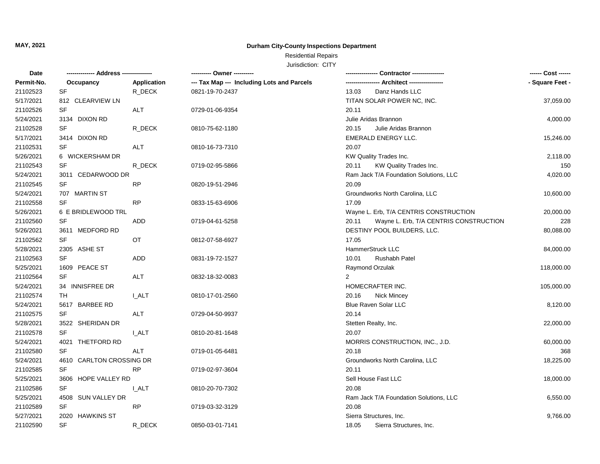### Residential Repairs

| Date       | -------------- Address --------------- |              | --------- Owner ---------                  |                                                 |                 |
|------------|----------------------------------------|--------------|--------------------------------------------|-------------------------------------------------|-----------------|
| Permit-No. | Occupancy                              | Application  | --- Tax Map --- Including Lots and Parcels |                                                 | - Square Feet - |
| 21102523   | SF                                     | R_DECK       | 0821-19-70-2437                            | 13.03<br>Danz Hands LLC                         |                 |
| 5/17/2021  | 812 CLEARVIEW LN                       |              |                                            | TITAN SOLAR POWER NC, INC.                      | 37,059.00       |
| 21102526   | <b>SF</b>                              | ALT          | 0729-01-06-9354                            | 20.11                                           |                 |
| 5/24/2021  | 3134 DIXON RD                          |              |                                            | Julie Aridas Brannon                            | 4,000.00        |
| 21102528   | <b>SF</b>                              | R_DECK       | 0810-75-62-1180                            | 20.15<br>Julie Aridas Brannon                   |                 |
| 5/17/2021  | 3414 DIXON RD                          |              |                                            | EMERALD ENERGY LLC.                             | 15,246.00       |
| 21102531   | <b>SF</b>                              | <b>ALT</b>   | 0810-16-73-7310                            | 20.07                                           |                 |
| 5/26/2021  | 6 WICKERSHAM DR                        |              |                                            | KW Quality Trades Inc.                          | 2,118.00        |
| 21102543   | SF                                     | R_DECK       | 0719-02-95-5866                            | KW Quality Trades Inc.<br>20.11                 | 150             |
| 5/24/2021  | 3011 CEDARWOOD DR                      |              |                                            | Ram Jack T/A Foundation Solutions, LLC          | 4,020.00        |
| 21102545   | <b>SF</b>                              | <b>RP</b>    | 0820-19-51-2946                            | 20.09                                           |                 |
| 5/24/2021  | 707 MARTIN ST                          |              |                                            | Groundworks North Carolina, LLC                 | 10,600.00       |
| 21102558   | SF                                     | <b>RP</b>    | 0833-15-63-6906                            | 17.09                                           |                 |
| 5/26/2021  | 6 E BRIDLEWOOD TRL                     |              |                                            | Wayne L. Erb, T/A CENTRIS CONSTRUCTION          | 20,000.00       |
| 21102560   | SF                                     | ADD          | 0719-04-61-5258                            | 20.11<br>Wayne L. Erb, T/A CENTRIS CONSTRUCTION | 228             |
| 5/26/2021  | 3611 MEDFORD RD                        |              |                                            | DESTINY POOL BUILDERS, LLC.                     | 80,088.00       |
| 21102562   | <b>SF</b>                              | OT           | 0812-07-58-6927                            | 17.05                                           |                 |
| 5/28/2021  | 2305 ASHE ST                           |              |                                            | HammerStruck LLC                                | 84,000.00       |
| 21102563   | <b>SF</b>                              | ADD          | 0831-19-72-1527                            | 10.01<br><b>Rushabh Patel</b>                   |                 |
| 5/25/2021  | 1609 PEACE ST                          |              |                                            | Raymond Orzulak                                 | 118,000.00      |
| 21102564   | <b>SF</b>                              | ALT          | 0832-18-32-0083                            | $\overline{2}$                                  |                 |
| 5/24/2021  | 34 INNISFREE DR                        |              |                                            | HOMECRAFTER INC.                                | 105,000.00      |
| 21102574   | TH                                     | <b>LALT</b>  | 0810-17-01-2560                            | 20.16<br><b>Nick Mincey</b>                     |                 |
| 5/24/2021  | 5617 BARBEE RD                         |              |                                            | <b>Blue Raven Solar LLC</b>                     | 8,120.00        |
| 21102575   | <b>SF</b>                              | <b>ALT</b>   | 0729-04-50-9937                            | 20.14                                           |                 |
| 5/28/2021  | 3522 SHERIDAN DR                       |              |                                            | Stetten Realty, Inc.                            | 22,000.00       |
| 21102578   | <b>SF</b>                              | <b>L_ALT</b> | 0810-20-81-1648                            | 20.07                                           |                 |
| 5/24/2021  | 4021 THETFORD RD                       |              |                                            | MORRIS CONSTRUCTION, INC., J.D.                 | 60,000.00       |
| 21102580   | SF                                     | <b>ALT</b>   | 0719-01-05-6481                            | 20.18                                           | 368             |
| 5/24/2021  | 4610 CARLTON CROSSING DR               |              |                                            | Groundworks North Carolina, LLC                 | 18,225.00       |
| 21102585   | <b>SF</b>                              | <b>RP</b>    | 0719-02-97-3604                            | 20.11                                           |                 |
| 5/25/2021  | 3606 HOPE VALLEY RD                    |              |                                            | Sell House Fast LLC                             | 18,000.00       |
| 21102586   | <b>SF</b>                              | I ALT        | 0810-20-70-7302                            | 20.08                                           |                 |
| 5/25/2021  | 4508 SUN VALLEY DR                     |              |                                            | Ram Jack T/A Foundation Solutions, LLC          | 6,550.00        |
| 21102589   | <b>SF</b>                              | <b>RP</b>    | 0719-03-32-3129                            | 20.08                                           |                 |
| 5/27/2021  | 2020 HAWKINS ST                        |              |                                            | Sierra Structures, Inc.                         | 9,766.00        |
| 21102590   | <b>SF</b>                              | R_DECK       | 0850-03-01-7141                            | 18.05<br>Sierra Structures, Inc.                |                 |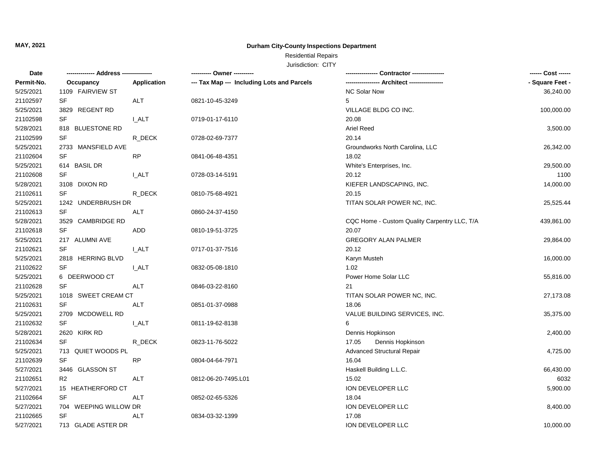## Residential Repairs

| Permit-No.<br>--- Tax Map --- Including Lots and Parcels<br>Application<br>Occupancy<br>1109 FAIRVIEW ST<br><b>NC Solar Now</b><br>5/25/2021<br>21102597<br><b>SF</b><br>ALT<br>5<br>0821-10-45-3249<br>5/25/2021<br>3829 REGENT RD<br>VILLAGE BLDG CO INC.<br>21102598<br>SF<br><b>I_ALT</b><br>20.08<br>0719-01-17-6110<br>5/28/2021<br>818 BLUESTONE RD<br><b>Ariel Reed</b><br>21102599<br>SF<br>R_DECK<br>20.14<br>0728-02-69-7377<br>5/25/2021<br>2733 MANSFIELD AVE<br>Groundworks North Carolina, LLC<br>21102604<br>SF<br><b>RP</b><br>18.02<br>0841-06-48-4351<br>5/25/2021<br>614 BASIL DR<br>White's Enterprises, Inc.<br>SF<br>21102608<br><b>I_ALT</b><br>20.12<br>0728-03-14-5191<br>5/28/2021<br>3108 DIXON RD<br>KIEFER LANDSCAPING, INC.<br>SF<br>21102611<br>20.15<br>R_DECK<br>0810-75-68-4921<br>5/25/2021<br>1242 UNDERBRUSH DR<br>TITAN SOLAR POWER NC, INC.<br>21102613<br>SF<br>ALT<br>0860-24-37-4150<br>5/28/2021<br>3529 CAMBRIDGE RD<br>CQC Home - Custom Quality Carpentry LLC, T/A<br>21102618<br><b>SF</b><br><b>ADD</b><br>20.07<br>0810-19-51-3725<br>5/25/2021<br><b>GREGORY ALAN PALMER</b><br>217 ALUMNI AVE<br>21102621<br>SF<br>20.12<br>I ALT<br>0717-01-37-7516<br>5/25/2021<br>2818 HERRING BLVD<br>Karyn Musteh<br>21102622<br>SF<br>1.02<br><b>L_ALT</b><br>0832-05-08-1810<br>5/25/2021<br>6 DEERWOOD CT<br>Power Home Solar LLC<br>55,816.00<br>SF<br><b>ALT</b><br>21102628<br>21<br>0846-03-22-8160<br>5/25/2021<br>1018 SWEET CREAM CT<br>TITAN SOLAR POWER NC, INC.<br>27,173.08<br>SF<br>21102631<br>ALT<br>18.06<br>0851-01-37-0988<br>5/25/2021<br>2709 MCDOWELL RD<br>VALUE BUILDING SERVICES, INC.<br>35,375.00<br>SF<br>21102632<br><b>I_ALT</b><br>6<br>0811-19-62-8138<br>5/28/2021<br>Dennis Hopkinson<br>2620 KIRK RD<br>2,400.00<br>21102634<br>SF<br>Dennis Hopkinson<br>R_DECK<br>17.05<br>0823-11-76-5022<br>5/25/2021<br>713 QUIET WOODS PL<br><b>Advanced Structural Repair</b><br>4,725.00<br>21102639<br>SF<br><b>RP</b><br>0804-04-64-7971<br>16.04<br>5/27/2021<br>3446 GLASSON ST<br>Haskell Building L.L.C.<br>66,430.00<br>21102651<br>R <sub>2</sub><br><b>ALT</b><br>15.02<br>6032<br>0812-06-20-7495.L01<br>5/27/2021<br>ION DEVELOPER LLC<br>5,900.00<br>15 HEATHERFORD CT<br>SF<br>21102664<br>ALT<br>0852-02-65-5326<br>18.04<br>5/27/2021<br>704 WEEPING WILLOW DR<br>ION DEVELOPER LLC<br>8,400.00<br>SF<br>21102665<br><b>ALT</b><br>0834-03-32-1399<br>17.08<br>5/27/2021<br>713 GLADE ASTER DR<br>ION DEVELOPER LLC | Date |  | ---------- Owner ---------- | ------ Cost ------ |
|---------------------------------------------------------------------------------------------------------------------------------------------------------------------------------------------------------------------------------------------------------------------------------------------------------------------------------------------------------------------------------------------------------------------------------------------------------------------------------------------------------------------------------------------------------------------------------------------------------------------------------------------------------------------------------------------------------------------------------------------------------------------------------------------------------------------------------------------------------------------------------------------------------------------------------------------------------------------------------------------------------------------------------------------------------------------------------------------------------------------------------------------------------------------------------------------------------------------------------------------------------------------------------------------------------------------------------------------------------------------------------------------------------------------------------------------------------------------------------------------------------------------------------------------------------------------------------------------------------------------------------------------------------------------------------------------------------------------------------------------------------------------------------------------------------------------------------------------------------------------------------------------------------------------------------------------------------------------------------------------------------------------------------------------------------------------------------------------------------------------------------------------------------------------------------------------------------------------------------------------------------------------------------------------------------------------------------------------------------------------------------------------------------------------------------------------------------------------------------------------------------|------|--|-----------------------------|--------------------|
|                                                                                                                                                                                                                                                                                                                                                                                                                                                                                                                                                                                                                                                                                                                                                                                                                                                                                                                                                                                                                                                                                                                                                                                                                                                                                                                                                                                                                                                                                                                                                                                                                                                                                                                                                                                                                                                                                                                                                                                                                                                                                                                                                                                                                                                                                                                                                                                                                                                                                                         |      |  |                             | - Square Feet -    |
|                                                                                                                                                                                                                                                                                                                                                                                                                                                                                                                                                                                                                                                                                                                                                                                                                                                                                                                                                                                                                                                                                                                                                                                                                                                                                                                                                                                                                                                                                                                                                                                                                                                                                                                                                                                                                                                                                                                                                                                                                                                                                                                                                                                                                                                                                                                                                                                                                                                                                                         |      |  |                             | 36,240.00          |
|                                                                                                                                                                                                                                                                                                                                                                                                                                                                                                                                                                                                                                                                                                                                                                                                                                                                                                                                                                                                                                                                                                                                                                                                                                                                                                                                                                                                                                                                                                                                                                                                                                                                                                                                                                                                                                                                                                                                                                                                                                                                                                                                                                                                                                                                                                                                                                                                                                                                                                         |      |  |                             |                    |
|                                                                                                                                                                                                                                                                                                                                                                                                                                                                                                                                                                                                                                                                                                                                                                                                                                                                                                                                                                                                                                                                                                                                                                                                                                                                                                                                                                                                                                                                                                                                                                                                                                                                                                                                                                                                                                                                                                                                                                                                                                                                                                                                                                                                                                                                                                                                                                                                                                                                                                         |      |  |                             | 100,000.00         |
|                                                                                                                                                                                                                                                                                                                                                                                                                                                                                                                                                                                                                                                                                                                                                                                                                                                                                                                                                                                                                                                                                                                                                                                                                                                                                                                                                                                                                                                                                                                                                                                                                                                                                                                                                                                                                                                                                                                                                                                                                                                                                                                                                                                                                                                                                                                                                                                                                                                                                                         |      |  |                             |                    |
|                                                                                                                                                                                                                                                                                                                                                                                                                                                                                                                                                                                                                                                                                                                                                                                                                                                                                                                                                                                                                                                                                                                                                                                                                                                                                                                                                                                                                                                                                                                                                                                                                                                                                                                                                                                                                                                                                                                                                                                                                                                                                                                                                                                                                                                                                                                                                                                                                                                                                                         |      |  |                             | 3,500.00           |
|                                                                                                                                                                                                                                                                                                                                                                                                                                                                                                                                                                                                                                                                                                                                                                                                                                                                                                                                                                                                                                                                                                                                                                                                                                                                                                                                                                                                                                                                                                                                                                                                                                                                                                                                                                                                                                                                                                                                                                                                                                                                                                                                                                                                                                                                                                                                                                                                                                                                                                         |      |  |                             |                    |
|                                                                                                                                                                                                                                                                                                                                                                                                                                                                                                                                                                                                                                                                                                                                                                                                                                                                                                                                                                                                                                                                                                                                                                                                                                                                                                                                                                                                                                                                                                                                                                                                                                                                                                                                                                                                                                                                                                                                                                                                                                                                                                                                                                                                                                                                                                                                                                                                                                                                                                         |      |  |                             | 26,342.00          |
|                                                                                                                                                                                                                                                                                                                                                                                                                                                                                                                                                                                                                                                                                                                                                                                                                                                                                                                                                                                                                                                                                                                                                                                                                                                                                                                                                                                                                                                                                                                                                                                                                                                                                                                                                                                                                                                                                                                                                                                                                                                                                                                                                                                                                                                                                                                                                                                                                                                                                                         |      |  |                             |                    |
|                                                                                                                                                                                                                                                                                                                                                                                                                                                                                                                                                                                                                                                                                                                                                                                                                                                                                                                                                                                                                                                                                                                                                                                                                                                                                                                                                                                                                                                                                                                                                                                                                                                                                                                                                                                                                                                                                                                                                                                                                                                                                                                                                                                                                                                                                                                                                                                                                                                                                                         |      |  |                             | 29,500.00          |
|                                                                                                                                                                                                                                                                                                                                                                                                                                                                                                                                                                                                                                                                                                                                                                                                                                                                                                                                                                                                                                                                                                                                                                                                                                                                                                                                                                                                                                                                                                                                                                                                                                                                                                                                                                                                                                                                                                                                                                                                                                                                                                                                                                                                                                                                                                                                                                                                                                                                                                         |      |  |                             | 1100               |
|                                                                                                                                                                                                                                                                                                                                                                                                                                                                                                                                                                                                                                                                                                                                                                                                                                                                                                                                                                                                                                                                                                                                                                                                                                                                                                                                                                                                                                                                                                                                                                                                                                                                                                                                                                                                                                                                                                                                                                                                                                                                                                                                                                                                                                                                                                                                                                                                                                                                                                         |      |  |                             | 14,000.00          |
|                                                                                                                                                                                                                                                                                                                                                                                                                                                                                                                                                                                                                                                                                                                                                                                                                                                                                                                                                                                                                                                                                                                                                                                                                                                                                                                                                                                                                                                                                                                                                                                                                                                                                                                                                                                                                                                                                                                                                                                                                                                                                                                                                                                                                                                                                                                                                                                                                                                                                                         |      |  |                             |                    |
|                                                                                                                                                                                                                                                                                                                                                                                                                                                                                                                                                                                                                                                                                                                                                                                                                                                                                                                                                                                                                                                                                                                                                                                                                                                                                                                                                                                                                                                                                                                                                                                                                                                                                                                                                                                                                                                                                                                                                                                                                                                                                                                                                                                                                                                                                                                                                                                                                                                                                                         |      |  |                             | 25,525.44          |
|                                                                                                                                                                                                                                                                                                                                                                                                                                                                                                                                                                                                                                                                                                                                                                                                                                                                                                                                                                                                                                                                                                                                                                                                                                                                                                                                                                                                                                                                                                                                                                                                                                                                                                                                                                                                                                                                                                                                                                                                                                                                                                                                                                                                                                                                                                                                                                                                                                                                                                         |      |  |                             |                    |
|                                                                                                                                                                                                                                                                                                                                                                                                                                                                                                                                                                                                                                                                                                                                                                                                                                                                                                                                                                                                                                                                                                                                                                                                                                                                                                                                                                                                                                                                                                                                                                                                                                                                                                                                                                                                                                                                                                                                                                                                                                                                                                                                                                                                                                                                                                                                                                                                                                                                                                         |      |  |                             | 439,861.00         |
|                                                                                                                                                                                                                                                                                                                                                                                                                                                                                                                                                                                                                                                                                                                                                                                                                                                                                                                                                                                                                                                                                                                                                                                                                                                                                                                                                                                                                                                                                                                                                                                                                                                                                                                                                                                                                                                                                                                                                                                                                                                                                                                                                                                                                                                                                                                                                                                                                                                                                                         |      |  |                             |                    |
|                                                                                                                                                                                                                                                                                                                                                                                                                                                                                                                                                                                                                                                                                                                                                                                                                                                                                                                                                                                                                                                                                                                                                                                                                                                                                                                                                                                                                                                                                                                                                                                                                                                                                                                                                                                                                                                                                                                                                                                                                                                                                                                                                                                                                                                                                                                                                                                                                                                                                                         |      |  |                             | 29,864.00          |
|                                                                                                                                                                                                                                                                                                                                                                                                                                                                                                                                                                                                                                                                                                                                                                                                                                                                                                                                                                                                                                                                                                                                                                                                                                                                                                                                                                                                                                                                                                                                                                                                                                                                                                                                                                                                                                                                                                                                                                                                                                                                                                                                                                                                                                                                                                                                                                                                                                                                                                         |      |  |                             |                    |
|                                                                                                                                                                                                                                                                                                                                                                                                                                                                                                                                                                                                                                                                                                                                                                                                                                                                                                                                                                                                                                                                                                                                                                                                                                                                                                                                                                                                                                                                                                                                                                                                                                                                                                                                                                                                                                                                                                                                                                                                                                                                                                                                                                                                                                                                                                                                                                                                                                                                                                         |      |  |                             | 16,000.00          |
|                                                                                                                                                                                                                                                                                                                                                                                                                                                                                                                                                                                                                                                                                                                                                                                                                                                                                                                                                                                                                                                                                                                                                                                                                                                                                                                                                                                                                                                                                                                                                                                                                                                                                                                                                                                                                                                                                                                                                                                                                                                                                                                                                                                                                                                                                                                                                                                                                                                                                                         |      |  |                             |                    |
|                                                                                                                                                                                                                                                                                                                                                                                                                                                                                                                                                                                                                                                                                                                                                                                                                                                                                                                                                                                                                                                                                                                                                                                                                                                                                                                                                                                                                                                                                                                                                                                                                                                                                                                                                                                                                                                                                                                                                                                                                                                                                                                                                                                                                                                                                                                                                                                                                                                                                                         |      |  |                             |                    |
|                                                                                                                                                                                                                                                                                                                                                                                                                                                                                                                                                                                                                                                                                                                                                                                                                                                                                                                                                                                                                                                                                                                                                                                                                                                                                                                                                                                                                                                                                                                                                                                                                                                                                                                                                                                                                                                                                                                                                                                                                                                                                                                                                                                                                                                                                                                                                                                                                                                                                                         |      |  |                             |                    |
|                                                                                                                                                                                                                                                                                                                                                                                                                                                                                                                                                                                                                                                                                                                                                                                                                                                                                                                                                                                                                                                                                                                                                                                                                                                                                                                                                                                                                                                                                                                                                                                                                                                                                                                                                                                                                                                                                                                                                                                                                                                                                                                                                                                                                                                                                                                                                                                                                                                                                                         |      |  |                             |                    |
|                                                                                                                                                                                                                                                                                                                                                                                                                                                                                                                                                                                                                                                                                                                                                                                                                                                                                                                                                                                                                                                                                                                                                                                                                                                                                                                                                                                                                                                                                                                                                                                                                                                                                                                                                                                                                                                                                                                                                                                                                                                                                                                                                                                                                                                                                                                                                                                                                                                                                                         |      |  |                             |                    |
|                                                                                                                                                                                                                                                                                                                                                                                                                                                                                                                                                                                                                                                                                                                                                                                                                                                                                                                                                                                                                                                                                                                                                                                                                                                                                                                                                                                                                                                                                                                                                                                                                                                                                                                                                                                                                                                                                                                                                                                                                                                                                                                                                                                                                                                                                                                                                                                                                                                                                                         |      |  |                             |                    |
|                                                                                                                                                                                                                                                                                                                                                                                                                                                                                                                                                                                                                                                                                                                                                                                                                                                                                                                                                                                                                                                                                                                                                                                                                                                                                                                                                                                                                                                                                                                                                                                                                                                                                                                                                                                                                                                                                                                                                                                                                                                                                                                                                                                                                                                                                                                                                                                                                                                                                                         |      |  |                             |                    |
|                                                                                                                                                                                                                                                                                                                                                                                                                                                                                                                                                                                                                                                                                                                                                                                                                                                                                                                                                                                                                                                                                                                                                                                                                                                                                                                                                                                                                                                                                                                                                                                                                                                                                                                                                                                                                                                                                                                                                                                                                                                                                                                                                                                                                                                                                                                                                                                                                                                                                                         |      |  |                             |                    |
|                                                                                                                                                                                                                                                                                                                                                                                                                                                                                                                                                                                                                                                                                                                                                                                                                                                                                                                                                                                                                                                                                                                                                                                                                                                                                                                                                                                                                                                                                                                                                                                                                                                                                                                                                                                                                                                                                                                                                                                                                                                                                                                                                                                                                                                                                                                                                                                                                                                                                                         |      |  |                             |                    |
|                                                                                                                                                                                                                                                                                                                                                                                                                                                                                                                                                                                                                                                                                                                                                                                                                                                                                                                                                                                                                                                                                                                                                                                                                                                                                                                                                                                                                                                                                                                                                                                                                                                                                                                                                                                                                                                                                                                                                                                                                                                                                                                                                                                                                                                                                                                                                                                                                                                                                                         |      |  |                             |                    |
|                                                                                                                                                                                                                                                                                                                                                                                                                                                                                                                                                                                                                                                                                                                                                                                                                                                                                                                                                                                                                                                                                                                                                                                                                                                                                                                                                                                                                                                                                                                                                                                                                                                                                                                                                                                                                                                                                                                                                                                                                                                                                                                                                                                                                                                                                                                                                                                                                                                                                                         |      |  |                             |                    |
|                                                                                                                                                                                                                                                                                                                                                                                                                                                                                                                                                                                                                                                                                                                                                                                                                                                                                                                                                                                                                                                                                                                                                                                                                                                                                                                                                                                                                                                                                                                                                                                                                                                                                                                                                                                                                                                                                                                                                                                                                                                                                                                                                                                                                                                                                                                                                                                                                                                                                                         |      |  |                             |                    |
|                                                                                                                                                                                                                                                                                                                                                                                                                                                                                                                                                                                                                                                                                                                                                                                                                                                                                                                                                                                                                                                                                                                                                                                                                                                                                                                                                                                                                                                                                                                                                                                                                                                                                                                                                                                                                                                                                                                                                                                                                                                                                                                                                                                                                                                                                                                                                                                                                                                                                                         |      |  |                             |                    |
|                                                                                                                                                                                                                                                                                                                                                                                                                                                                                                                                                                                                                                                                                                                                                                                                                                                                                                                                                                                                                                                                                                                                                                                                                                                                                                                                                                                                                                                                                                                                                                                                                                                                                                                                                                                                                                                                                                                                                                                                                                                                                                                                                                                                                                                                                                                                                                                                                                                                                                         |      |  |                             |                    |
|                                                                                                                                                                                                                                                                                                                                                                                                                                                                                                                                                                                                                                                                                                                                                                                                                                                                                                                                                                                                                                                                                                                                                                                                                                                                                                                                                                                                                                                                                                                                                                                                                                                                                                                                                                                                                                                                                                                                                                                                                                                                                                                                                                                                                                                                                                                                                                                                                                                                                                         |      |  |                             |                    |
|                                                                                                                                                                                                                                                                                                                                                                                                                                                                                                                                                                                                                                                                                                                                                                                                                                                                                                                                                                                                                                                                                                                                                                                                                                                                                                                                                                                                                                                                                                                                                                                                                                                                                                                                                                                                                                                                                                                                                                                                                                                                                                                                                                                                                                                                                                                                                                                                                                                                                                         |      |  |                             |                    |
|                                                                                                                                                                                                                                                                                                                                                                                                                                                                                                                                                                                                                                                                                                                                                                                                                                                                                                                                                                                                                                                                                                                                                                                                                                                                                                                                                                                                                                                                                                                                                                                                                                                                                                                                                                                                                                                                                                                                                                                                                                                                                                                                                                                                                                                                                                                                                                                                                                                                                                         |      |  |                             |                    |
|                                                                                                                                                                                                                                                                                                                                                                                                                                                                                                                                                                                                                                                                                                                                                                                                                                                                                                                                                                                                                                                                                                                                                                                                                                                                                                                                                                                                                                                                                                                                                                                                                                                                                                                                                                                                                                                                                                                                                                                                                                                                                                                                                                                                                                                                                                                                                                                                                                                                                                         |      |  |                             | 10,000.00          |